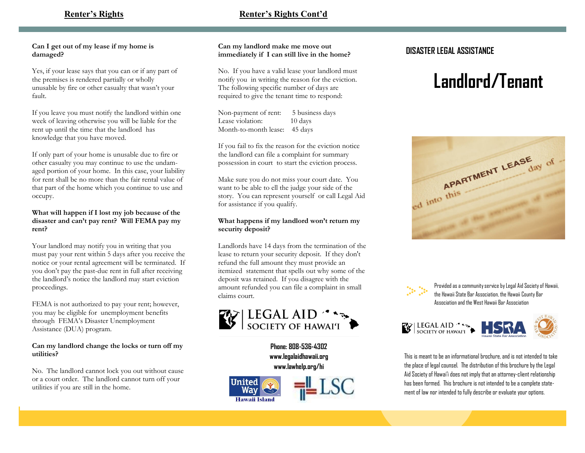# **Renter's Rights Cont'd**

# **Can I get out of my lease if my home is damaged?**

Yes, if your lease says that you can or if any part of the premises is rendered partially or wholly unusable by fire or other casualty that wasn't your fault.

If you leave you must notify the landlord within one week of leaving otherwise you will be liable for the rent up until the time that the landlord has knowledge that you have moved.

If only part of your home is unusable due to fire or other casualty you may continue to use the undamaged portion of your home. In this case, your liability for rent shall be no more than the fair rental value of that part of the home which you continue to use and occupy.

# **What will happen if I lost my job because of the disaster and can't pay rent? Will FEMA pay my rent?**

Your landlord may notify you in writing that you must pay your rent within 5 days after you receive the notice or your rental agreement will be terminated. If you don't pay the past-due rent in full after receiving the landlord's notice the landlord may start eviction proceedings.

FEMA is not authorized to pay your rent; however, you may be eligible for unemployment benefits through FEMA's Disaster Unemployment Assistance (DUA) program.

## **Can my landlord change the locks or turn off my utilities?**

No. The landlord cannot lock you out without cause or a court order. The landlord cannot turn off your utilities if you are still in the home.

**Can my landlord make me move out immediately if I can still live in the home?**

No. If you have a valid lease your landlord must notify you in writing the reason for the eviction. The following specific number of days are required to give the tenant time to respond:

Non-payment of rent: 5 business days Lease violation: 10 days Month-to-month lease: 45 days

If you fail to fix the reason for the eviction notice the landlord can file a complaint for summary possession in court to start the eviction process.

Make sure you do not miss your court date. You want to be able to ell the judge your side of the story. You can represent yourself or call Legal Aid for assistance if you qualify.

# **What happens if my landlord won't return my security deposit?**

Landlords have 14 days from the termination of the lease to return your security deposit. If they don't refund the full amount they must provide an itemized statement that spells out why some of the deposit was retained. If you disagree with the amount refunded you can file a complaint in small claims court.



**Phone: 808-536-4302 www.legalaidhawaii.org www.lawhelp.org/hi**



# **DISASTER LEGAL ASSISTANCE**

# **Landlord/Tenant**





Provided as a community service by Legal Aid Society of Hawaii, the Hawaii State Bar Association, the Hawaii County Bar Association and the West Hawaii Bar Association

**SEGAL AID AND SERVICE SERVICE SERVICE SERVICE SERVICE SERVICE SERVICE SERVICE SERVICE SERVICE SERVICE SERVICE** 



This is meant to be an informational brochure, and is not intended to take the place of legal counsel. The distribution of this brochure by the Legal Aid Society of Hawai'i does not imply that an attorney-client relationship has been formed. This brochure is not intended to be a complete statement of law nor intended to fully describe or evaluate your options.